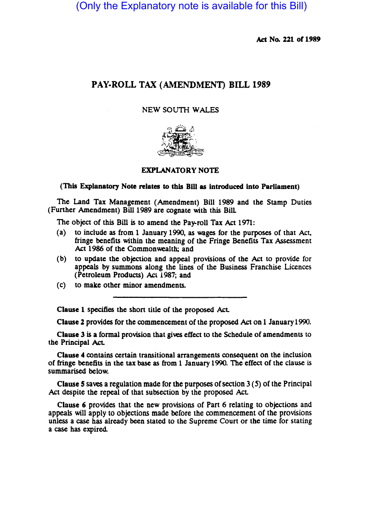(Only the Explanatory note is available for this Bill)

Act No. 221 of 1989

# PAY·ROLL TAX (AMENDMENT) BILL 1989

## NEW SOUTH WALES



## EXPLANATORY NOTE

#### (This Explanatory Note relates to this B1II as introduced into Parliament)

The Land Tax Management (Amendment) Bill 1989 and the Stamp Duties (Funher Amendment) Bill 1989 are cognate with this Bill

The object of this Bill is to amend the Pay-roll Tax Act 1971:

- (a) to include as from 1 January 1990, as wages for the purposes of that Act, fringe benefits within the meaning of the Fringe Benefits Tax Assessment Act 1986 of the Commonwealth; and
- (b) to update the objection and appeal provisions of the Act to provide for appeals by summons along the lines of the Business Franchise Licences (Petroleum Products) Act 1987; and
- (c) to make other minor amendments.

Clause 1 specifies the short title of the proposed Act.

Clause 2 provides for the commencement of the proposed Act on 1 January 1990.

Clause 3 is a formal provision that gives effect to the Schedule of amendments to the Principal AcL

Clause 4 contains certain transitional arrangements consequent on the inclusion of fringe benefits in the tax base as from 1 January 1990. The effect of the clause is summarised below.

Clause 5 saves a regulation made for the purposes of section 3 (5) of the Principal Act despite the repeal of that subsection by the proposed Act

Clause 6 provides that the new provisions of Part 6 relating to objections and appeals will apply to objections made before the commencement of the provisions unless a case has already been stated to the Supreme Court or the time for stating a case has expired.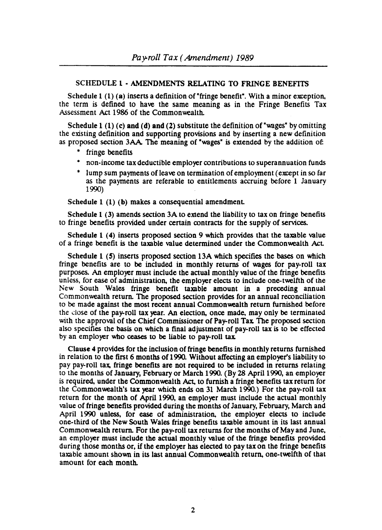## SCHEDULE 1· AMENDMENTS RELATING TO FRINGE BENEFITS

Schedule 1 (1) (a) inserts a definition of "fringe benefit". With a minor exception, the term is defined to have the same meaning as in the Fringe Benefits Tax Assessment Act 1986 of the Commonwealth.

Schedule 1 (1) (c) and (d) and (2) substitute the definition of "wages" by omitting the existing definition and supporting provisions and by inserting a new definition as proposed section 3AA The meaning of "wages" is extended by the addition of:

- fringe benefits
- non-income tax deductible employer contributions to superannuation funds
- lump sum payments of leave on termination of employment (except in so far as the payments are referable to entitlements accruing before 1 January 1990)

Schedule 1 (1) (b) makes a consequential amendment.

Schedule 1 (3) amends section 3A to extend the liability to tax on fringe benefits to fringe benefits provided under certain contracts for the supply of services.

Schedule 1 (4) inserts proposed section 9 which provides that the taxable value of a fringe benefit is the taxable value determined under the Commonwealth Act

Schedule 1 (S) inserts proposed section 13A which specifies the bases on which fringe benefits are to be included in monthly returns of wages for pay-roll tax purposes. An employer must include the actual monthly value of the fringe benefits unless, for ease of administration, the employer elects to include one-twelfth of the New South Wales fringe benefit taxable amount in a preceding annual Commonwealth return. The proposed section provides for an annual reconciliation to be made against the most recent annual Commonwealth return furnished before the dose of the pay-roll tax year. An election, once made, may only be terminated with the approval of the Chief Commissioner of Pay-roll Tax The proposed section also specifies the basis on which a final adjustment of pay-rOll tax is to be effected by an employer who ceases to be liable to pay-roll tax

Clause 4 provides for the inclusion of fringe benefits in monthly returns furnished in relation to the first 6 months of 1990. Without affecting an employer's liability to pay pay-rOll tax. fringe benefits are not required to be included in returns relating to the months of January, February or March 1990. (By 28 April 1990, an employer is required, under the Commonwealth Act. to furnish a fringe benefits tax return for the Commonwealth's tax year which ends on 31 March 1990.) For the pay-roll tax return for the month of April 1990, an employer must include the actual monthly value of fringe benefits provided during the months of January, February, March and April 1990 unless, for ease of administration, the employer elects to include one-third of the New South Wales fringe benefits taxable amount in its last annual Commonwealth retum For the pay-roll tax returns for the months of May and June, an employer must include the actual monthly value of the fringe benefits provided during those months or, if the employer has elected to pay tax on the fringe benefits taxable amount shown in its last annual Commonwealth return, one-twelfth of that amount for each month.